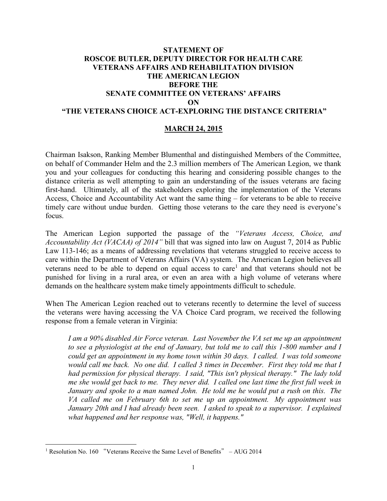# **STATEMENT OF ROSCOE BUTLER, DEPUTY DIRECTOR FOR HEALTH CARE VETERANS AFFAIRS AND REHABILITATION DIVISION THE AMERICAN LEGION BEFORE THE SENATE COMMITTEE ON VETERANS' AFFAIRS ON "THE VETERANS CHOICE ACT-EXPLORING THE DISTANCE CRITERIA"**

### **MARCH 24, 2015**

Chairman Isakson, Ranking Member Blumenthal and distinguished Members of the Committee, on behalf of Commander Helm and the 2.3 million members of The American Legion, we thank you and your colleagues for conducting this hearing and considering possible changes to the distance criteria as well attempting to gain an understanding of the issues veterans are facing first-hand. Ultimately, all of the stakeholders exploring the implementation of the Veterans Access, Choice and Accountability Act want the same thing – for veterans to be able to receive timely care without undue burden. Getting those veterans to the care they need is everyone's focus.

The American Legion supported the passage of the *"Veterans Access, Choice, and Accountability Act (VACAA) of 2014"* bill that was signed into law on August 7, 2014 as Public Law 113-146; as a means of addressing revelations that veterans struggled to receive access to care within the Department of Veterans Affairs (VA) system. The American Legion believes all veterans need to be able to depend on equal access to care<sup>1</sup> and that veterans should not be punished for living in a rural area, or even an area with a high volume of veterans where demands on the healthcare system make timely appointments difficult to schedule.

When The American Legion reached out to veterans recently to determine the level of success the veterans were having accessing the VA Choice Card program, we received the following response from a female veteran in Virginia:

*I am a 90% disabled Air Force veteran. Last November the VA set me up an appointment to see a physiologist at the end of January, but told me to call this 1-800 number and I could get an appointment in my home town within 30 days. I called. I was told someone would call me back. No one did. I called 3 times in December. First they told me that I had permission for physical therapy. I said, "This isn't physical therapy." The lady told me she would get back to me. They never did. I called one last time the first full week in January and spoke to a man named John. He told me he would put a rush on this. The VA called me on February 6th to set me up an appointment. My appointment was January 20th and I had already been seen. I asked to speak to a supervisor. I explained what happened and her response was, "Well, it happens."* 

 $\overline{a}$ 

<sup>&</sup>lt;sup>1</sup> Resolution No. 160 "Veterans Receive the Same Level of Benefits"  $-$  AUG 2014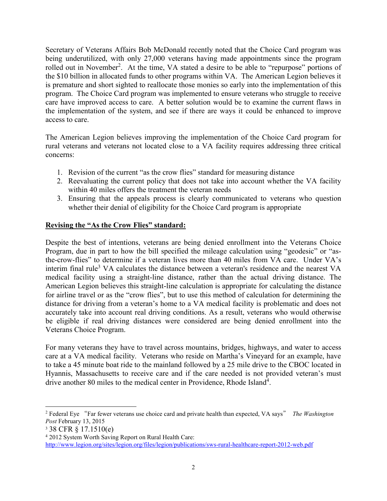Secretary of Veterans Affairs Bob McDonald recently noted that the Choice Card program was being underutilized, with only 27,000 veterans having made appointments since the program rolled out in November<sup>2</sup>. At the time, VA stated a desire to be able to "repurpose" portions of the \$10 billion in allocated funds to other programs within VA. The American Legion believes it is premature and short sighted to reallocate those monies so early into the implementation of this program. The Choice Card program was implemented to ensure veterans who struggle to receive care have improved access to care. A better solution would be to examine the current flaws in the implementation of the system, and see if there are ways it could be enhanced to improve access to care.

The American Legion believes improving the implementation of the Choice Card program for rural veterans and veterans not located close to a VA facility requires addressing three critical concerns:

- 1. Revision of the current "as the crow flies" standard for measuring distance
- 2. Reevaluating the current policy that does not take into account whether the VA facility within 40 miles offers the treatment the veteran needs
- 3. Ensuring that the appeals process is clearly communicated to veterans who question whether their denial of eligibility for the Choice Card program is appropriate

### **Revising the "As the Crow Flies" standard:**

Despite the best of intentions, veterans are being denied enrollment into the Veterans Choice Program, due in part to how the bill specified the mileage calculation using "geodesic" or "asthe-crow-flies" to determine if a veteran lives more than 40 miles from VA care. Under VA's interim final rule<sup>3</sup> VA calculates the distance between a veteran's residence and the nearest VA medical facility using a straight-line distance, rather than the actual driving distance. The American Legion believes this straight-line calculation is appropriate for calculating the distance for airline travel or as the "crow flies", but to use this method of calculation for determining the distance for driving from a veteran's home to a VA medical facility is problematic and does not accurately take into account real driving conditions. As a result, veterans who would otherwise be eligible if real driving distances were considered are being denied enrollment into the Veterans Choice Program.

For many veterans they have to travel across mountains, bridges, highways, and water to access care at a VA medical facility. Veterans who reside on Martha's Vineyard for an example, have to take a 45 minute boat ride to the mainland followed by a 25 mile drive to the CBOC located in Hyannis, Massachusetts to receive care and if the care needed is not provided veteran's must drive another 80 miles to the medical center in Providence, Rhode Island<sup>4</sup>.

 $\overline{a}$ 

<sup>&</sup>lt;sup>2</sup> Federal Eye "Far fewer veterans use choice card and private health than expected, VA says" The Washington *Post* February 13, 2015

<sup>3</sup> 38 CFR § 17.1510(e)

<sup>4</sup> 2012 System Worth Saving Report on Rural Health Care: <http://www.legion.org/sites/legion.org/files/legion/publications/sws-rural-healthcare-report-2012-web.pdf>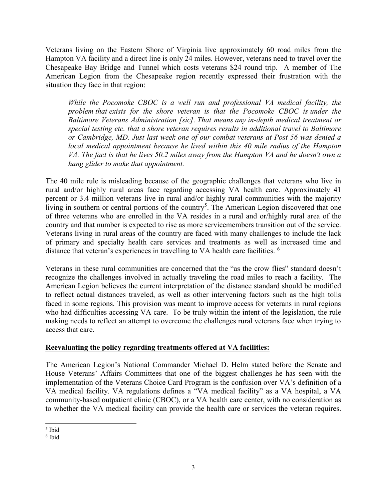Veterans living on the Eastern Shore of Virginia live approximately 60 road miles from the Hampton VA facility and a direct line is only 24 miles. However, veterans need to travel over the Chesapeake Bay Bridge and Tunnel which costs veterans \$24 round trip. A member of The American Legion from the Chesapeake region recently expressed their frustration with the situation they face in that region:

*While the Pocomoke CBOC is a well run and professional VA medical facility, the problem that exists for the shore veteran is that the Pocomoke CBOC is under the Baltimore Veterans Administration [sic]. That means any in-depth medical treatment or special testing etc. that a shore veteran requires results in additional travel to Baltimore or Cambridge, MD. Just last week one of our combat veterans at Post 56 was denied a local medical appointment because he lived within this 40 mile radius of the Hampton VA. The fact is that he lives 50.2 miles away from the Hampton VA and he doesn't own a hang glider to make that appointment.* 

The 40 mile rule is misleading because of the geographic challenges that veterans who live in rural and/or highly rural areas face regarding accessing VA health care. Approximately 41 percent or 3.4 million veterans live in rural and/or highly rural communities with the majority living in southern or central portions of the country<sup>5</sup>. The American Legion discovered that one of three veterans who are enrolled in the VA resides in a rural and or/highly rural area of the country and that number is expected to rise as more servicemembers transition out of the service. Veterans living in rural areas of the country are faced with many challenges to include the lack of primary and specialty health care services and treatments as well as increased time and distance that veteran's experiences in travelling to VA health care facilities. <sup>6</sup>

Veterans in these rural communities are concerned that the "as the crow flies" standard doesn't recognize the challenges involved in actually traveling the road miles to reach a facility. The American Legion believes the current interpretation of the distance standard should be modified to reflect actual distances traveled, as well as other intervening factors such as the high tolls faced in some regions. This provision was meant to improve access for veterans in rural regions who had difficulties accessing VA care. To be truly within the intent of the legislation, the rule making needs to reflect an attempt to overcome the challenges rural veterans face when trying to access that care.

### **Reevaluating the policy regarding treatments offered at VA facilities:**

The American Legion's National Commander Michael D. Helm stated before the Senate and House Veterans' Affairs Committees that one of the biggest challenges he has seen with the implementation of the Veterans Choice Card Program is the confusion over VA's definition of a VA medical facility. VA regulations defines a "VA medical facility" as a VA hospital, a VA community-based outpatient clinic (CBOC), or a VA health care center, with no consideration as to whether the VA medical facility can provide the health care or services the veteran requires.

 $\overline{a}$ 5 Ibid

<sup>6</sup> Ibid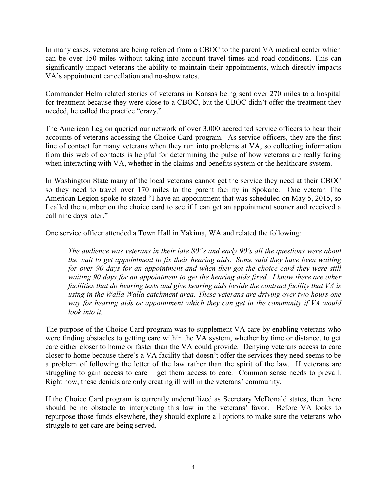In many cases, veterans are being referred from a CBOC to the parent VA medical center which can be over 150 miles without taking into account travel times and road conditions. This can significantly impact veterans the ability to maintain their appointments, which directly impacts VA's appointment cancellation and no-show rates.

Commander Helm related stories of veterans in Kansas being sent over 270 miles to a hospital for treatment because they were close to a CBOC, but the CBOC didn't offer the treatment they needed, he called the practice "crazy."

The American Legion queried our network of over 3,000 accredited service officers to hear their accounts of veterans accessing the Choice Card program. As service officers, they are the first line of contact for many veterans when they run into problems at VA, so collecting information from this web of contacts is helpful for determining the pulse of how veterans are really faring when interacting with VA, whether in the claims and benefits system or the healthcare system.

In Washington State many of the local veterans cannot get the service they need at their CBOC so they need to travel over 170 miles to the parent facility in Spokane. One veteran The American Legion spoke to stated "I have an appointment that was scheduled on May 5, 2015, so I called the number on the choice card to see if I can get an appointment sooner and received a call nine days later."

One service officer attended a Town Hall in Yakima, WA and related the following:

*The audience was veterans in their late 80"s and early 90's all the questions were about the wait to get appointment to fix their hearing aids. Some said they have been waiting for over 90 days for an appointment and when they got the choice card they were still waiting 90 days for an appointment to get the hearing aide fixed. I know there are other facilities that do hearing tests and give hearing aids beside the contract facility that VA is using in the Walla Walla catchment area. These veterans are driving over two hours one way for hearing aids or appointment which they can get in the community if VA would look into it.* 

The purpose of the Choice Card program was to supplement VA care by enabling veterans who were finding obstacles to getting care within the VA system, whether by time or distance, to get care either closer to home or faster than the VA could provide. Denying veterans access to care closer to home because there's a VA facility that doesn't offer the services they need seems to be a problem of following the letter of the law rather than the spirit of the law. If veterans are struggling to gain access to care – get them access to care. Common sense needs to prevail. Right now, these denials are only creating ill will in the veterans' community.

If the Choice Card program is currently underutilized as Secretary McDonald states, then there should be no obstacle to interpreting this law in the veterans' favor. Before VA looks to repurpose those funds elsewhere, they should explore all options to make sure the veterans who struggle to get care are being served.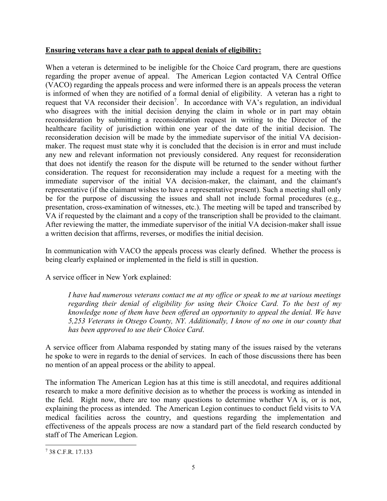## **Ensuring veterans have a clear path to appeal denials of eligibility:**

When a veteran is determined to be ineligible for the Choice Card program, there are questions regarding the proper avenue of appeal. The American Legion contacted VA Central Office (VACO) regarding the appeals process and were informed there is an appeals process the veteran is informed of when they are notified of a formal denial of eligibility. A veteran has a right to request that VA reconsider their decision<sup>7</sup>. In accordance with VA's regulation, an individual who disagrees with the initial decision denying the claim in whole or in part may obtain reconsideration by submitting a reconsideration request in writing to the Director of the healthcare facility of jurisdiction within one year of the date of the initial decision. The reconsideration decision will be made by the immediate supervisor of the initial VA decisionmaker. The request must state why it is concluded that the decision is in error and must include any new and relevant information not previously considered. Any request for reconsideration that does not identify the reason for the dispute will be returned to the sender without further consideration. The request for reconsideration may include a request for a meeting with the immediate supervisor of the initial VA decision-maker, the claimant, and the claimant's representative (if the claimant wishes to have a representative present). Such a meeting shall only be for the purpose of discussing the issues and shall not include formal procedures (e.g., presentation, cross-examination of witnesses, etc.). The meeting will be taped and transcribed by VA if requested by the claimant and a copy of the transcription shall be provided to the claimant. After reviewing the matter, the immediate supervisor of the initial VA decision-maker shall issue a written decision that affirms, reverses, or modifies the initial decision.

In communication with VACO the appeals process was clearly defined. Whether the process is being clearly explained or implemented in the field is still in question.

A service officer in New York explained:

*I have had numerous veterans contact me at my office or speak to me at various meetings regarding their denial of eligibility for using their Choice Card. To the best of my knowledge none of them have been offered an opportunity to appeal the denial. We have 5,253 Veterans in Otsego County, NY. Additionally, I know of no one in our county that has been approved to use their Choice Card*.

A service officer from Alabama responded by stating many of the issues raised by the veterans he spoke to were in regards to the denial of services. In each of those discussions there has been no mention of an appeal process or the ability to appeal.

The information The American Legion has at this time is still anecdotal, and requires additional research to make a more definitive decision as to whether the process is working as intended in the field. Right now, there are too many questions to determine whether VA is, or is not, explaining the process as intended. The American Legion continues to conduct field visits to VA medical facilities across the country, and questions regarding the implementation and effectiveness of the appeals process are now a standard part of the field research conducted by staff of The American Legion.

 $\overline{a}$ 7 38 C.F.R. 17.133